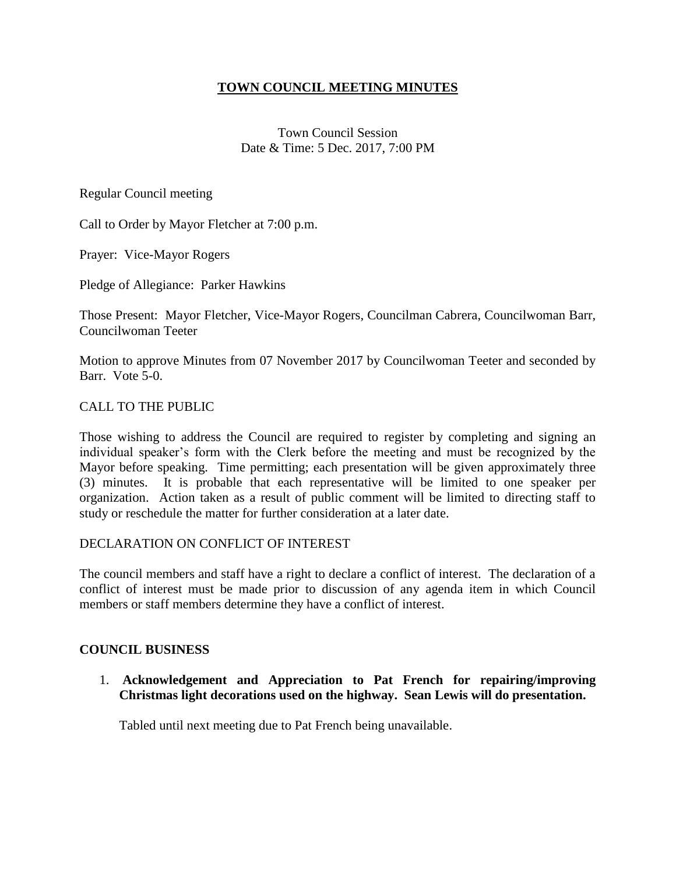# **TOWN COUNCIL MEETING MINUTES**

Town Council Session Date & Time: 5 Dec. 2017, 7:00 PM

Regular Council meeting

Call to Order by Mayor Fletcher at 7:00 p.m.

Prayer: Vice-Mayor Rogers

Pledge of Allegiance: Parker Hawkins

Those Present: Mayor Fletcher, Vice-Mayor Rogers, Councilman Cabrera, Councilwoman Barr, Councilwoman Teeter

Motion to approve Minutes from 07 November 2017 by Councilwoman Teeter and seconded by Barr. Vote 5-0.

#### CALL TO THE PUBLIC

Those wishing to address the Council are required to register by completing and signing an individual speaker's form with the Clerk before the meeting and must be recognized by the Mayor before speaking. Time permitting; each presentation will be given approximately three (3) minutes. It is probable that each representative will be limited to one speaker per organization. Action taken as a result of public comment will be limited to directing staff to study or reschedule the matter for further consideration at a later date.

#### DECLARATION ON CONFLICT OF INTEREST

The council members and staff have a right to declare a conflict of interest. The declaration of a conflict of interest must be made prior to discussion of any agenda item in which Council members or staff members determine they have a conflict of interest.

#### **COUNCIL BUSINESS**

1. **Acknowledgement and Appreciation to Pat French for repairing/improving Christmas light decorations used on the highway. Sean Lewis will do presentation.**

Tabled until next meeting due to Pat French being unavailable.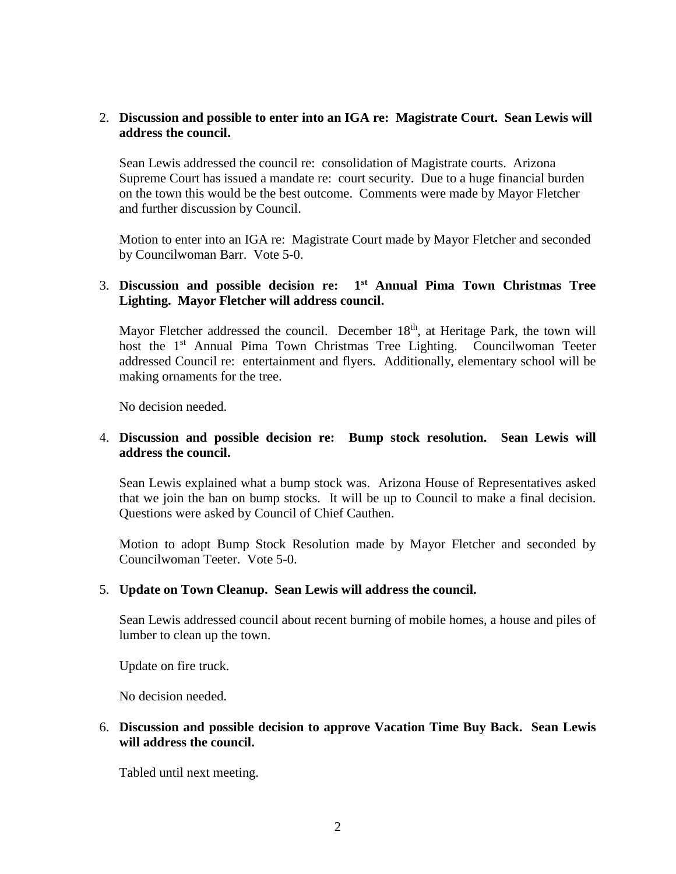## 2. **Discussion and possible to enter into an IGA re: Magistrate Court. Sean Lewis will address the council.**

Sean Lewis addressed the council re: consolidation of Magistrate courts. Arizona Supreme Court has issued a mandate re: court security. Due to a huge financial burden on the town this would be the best outcome. Comments were made by Mayor Fletcher and further discussion by Council.

Motion to enter into an IGA re: Magistrate Court made by Mayor Fletcher and seconded by Councilwoman Barr. Vote 5-0.

## 3. **Discussion and possible decision re: 1st Annual Pima Town Christmas Tree Lighting. Mayor Fletcher will address council.**

Mayor Fletcher addressed the council. December 18<sup>th</sup>, at Heritage Park, the town will host the 1<sup>st</sup> Annual Pima Town Christmas Tree Lighting. Councilwoman Teeter addressed Council re: entertainment and flyers. Additionally, elementary school will be making ornaments for the tree.

No decision needed.

## 4. **Discussion and possible decision re: Bump stock resolution. Sean Lewis will address the council.**

Sean Lewis explained what a bump stock was. Arizona House of Representatives asked that we join the ban on bump stocks. It will be up to Council to make a final decision. Questions were asked by Council of Chief Cauthen.

Motion to adopt Bump Stock Resolution made by Mayor Fletcher and seconded by Councilwoman Teeter. Vote 5-0.

## 5. **Update on Town Cleanup. Sean Lewis will address the council.**

Sean Lewis addressed council about recent burning of mobile homes, a house and piles of lumber to clean up the town.

Update on fire truck.

No decision needed.

## 6. **Discussion and possible decision to approve Vacation Time Buy Back. Sean Lewis will address the council.**

Tabled until next meeting.